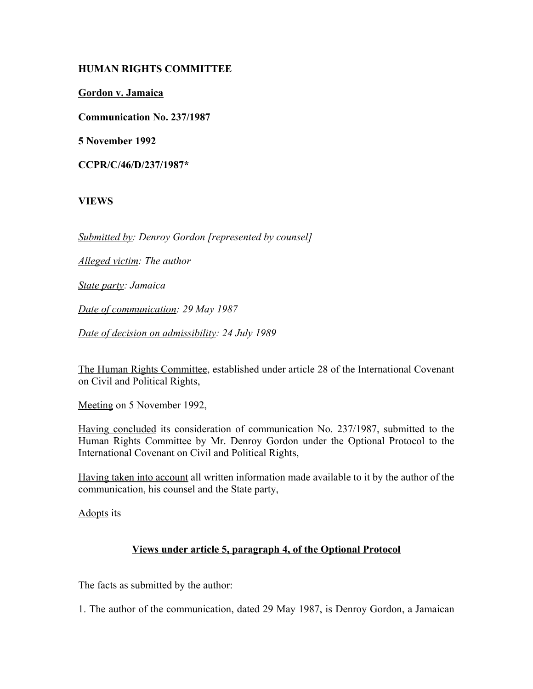## **HUMAN RIGHTS COMMITTEE**

**Gordon v. Jamaica**

**Communication No. 237/1987**

**5 November 1992**

**CCPR/C/46/D/237/1987\***

# **VIEWS**

*Submitted by: Denroy Gordon [represented by counsel]*

*Alleged victim: The author*

*State party: Jamaica*

*Date of communication: 29 May 1987*

*Date of decision on admissibility: 24 July 1989*

The Human Rights Committee, established under article 28 of the International Covenant on Civil and Political Rights,

Meeting on 5 November 1992,

Having concluded its consideration of communication No. 237/1987, submitted to the Human Rights Committee by Mr. Denroy Gordon under the Optional Protocol to the International Covenant on Civil and Political Rights,

Having taken into account all written information made available to it by the author of the communication, his counsel and the State party,

Adopts its

## **Views under article 5, paragraph 4, of the Optional Protocol**

The facts as submitted by the author:

1. The author of the communication, dated 29 May 1987, is Denroy Gordon, a Jamaican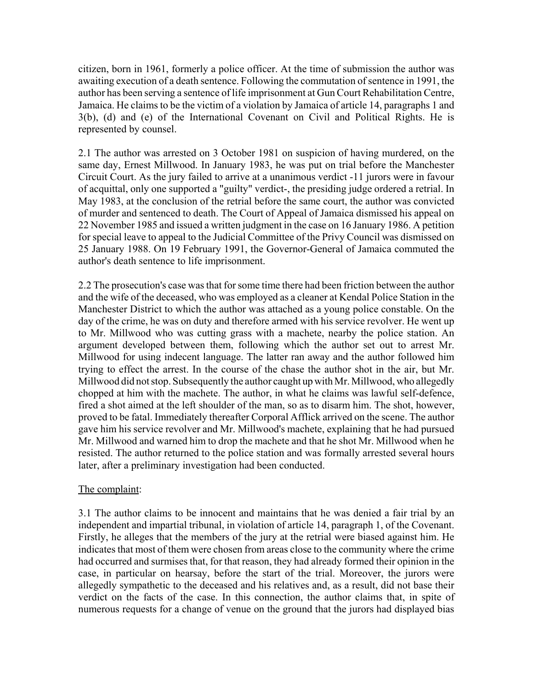citizen, born in 1961, formerly a police officer. At the time of submission the author was awaiting execution of a death sentence. Following the commutation of sentence in 1991, the author has been serving a sentence of life imprisonment at Gun Court Rehabilitation Centre, Jamaica. He claims to be the victim of a violation by Jamaica of article 14, paragraphs 1 and 3(b), (d) and (e) of the International Covenant on Civil and Political Rights. He is represented by counsel.

2.1 The author was arrested on 3 October 1981 on suspicion of having murdered, on the same day, Ernest Millwood. In January 1983, he was put on trial before the Manchester Circuit Court. As the jury failed to arrive at a unanimous verdict -11 jurors were in favour of acquittal, only one supported a "guilty" verdict-, the presiding judge ordered a retrial. In May 1983, at the conclusion of the retrial before the same court, the author was convicted of murder and sentenced to death. The Court of Appeal of Jamaica dismissed his appeal on 22 November 1985 and issued a written judgment in the case on 16 January 1986. A petition for special leave to appeal to the Judicial Committee of the Privy Council was dismissed on 25 January 1988. On 19 February 1991, the Governor-General of Jamaica commuted the author's death sentence to life imprisonment.

2.2 The prosecution's case was that for some time there had been friction between the author and the wife of the deceased, who was employed as a cleaner at Kendal Police Station in the Manchester District to which the author was attached as a young police constable. On the day of the crime, he was on duty and therefore armed with his service revolver. He went up to Mr. Millwood who was cutting grass with a machete, nearby the police station. An argument developed between them, following which the author set out to arrest Mr. Millwood for using indecent language. The latter ran away and the author followed him trying to effect the arrest. In the course of the chase the author shot in the air, but Mr. Millwood did not stop. Subsequently the author caught up with Mr. Millwood, who allegedly chopped at him with the machete. The author, in what he claims was lawful self-defence, fired a shot aimed at the left shoulder of the man, so as to disarm him. The shot, however, proved to be fatal. Immediately thereafter Corporal Afflick arrived on the scene. The author gave him his service revolver and Mr. Millwood's machete, explaining that he had pursued Mr. Millwood and warned him to drop the machete and that he shot Mr. Millwood when he resisted. The author returned to the police station and was formally arrested several hours later, after a preliminary investigation had been conducted.

## The complaint:

3.1 The author claims to be innocent and maintains that he was denied a fair trial by an independent and impartial tribunal, in violation of article 14, paragraph 1, of the Covenant. Firstly, he alleges that the members of the jury at the retrial were biased against him. He indicates that most of them were chosen from areas close to the community where the crime had occurred and surmises that, for that reason, they had already formed their opinion in the case, in particular on hearsay, before the start of the trial. Moreover, the jurors were allegedly sympathetic to the deceased and his relatives and, as a result, did not base their verdict on the facts of the case. In this connection, the author claims that, in spite of numerous requests for a change of venue on the ground that the jurors had displayed bias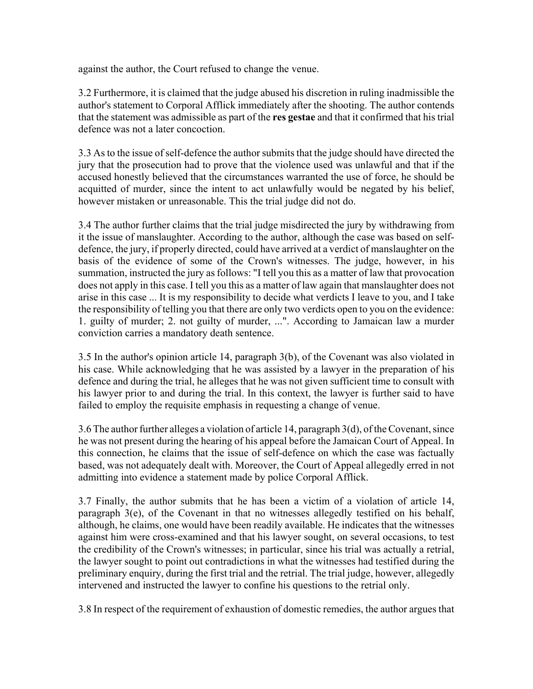against the author, the Court refused to change the venue.

3.2 Furthermore, it is claimed that the judge abused his discretion in ruling inadmissible the author's statement to Corporal Afflick immediately after the shooting. The author contends that the statement was admissible as part of the **res gestae** and that it confirmed that his trial defence was not a later concoction.

3.3 As to the issue of self-defence the author submits that the judge should have directed the jury that the prosecution had to prove that the violence used was unlawful and that if the accused honestly believed that the circumstances warranted the use of force, he should be acquitted of murder, since the intent to act unlawfully would be negated by his belief, however mistaken or unreasonable. This the trial judge did not do.

3.4 The author further claims that the trial judge misdirected the jury by withdrawing from it the issue of manslaughter. According to the author, although the case was based on selfdefence, the jury, if properly directed, could have arrived at a verdict of manslaughter on the basis of the evidence of some of the Crown's witnesses. The judge, however, in his summation, instructed the jury as follows: "I tell you this as a matter of law that provocation does not apply in this case. I tell you this as a matter of law again that manslaughter does not arise in this case ... It is my responsibility to decide what verdicts I leave to you, and I take the responsibility of telling you that there are only two verdicts open to you on the evidence: 1. guilty of murder; 2. not guilty of murder, ...". According to Jamaican law a murder conviction carries a mandatory death sentence.

3.5 In the author's opinion article 14, paragraph 3(b), of the Covenant was also violated in his case. While acknowledging that he was assisted by a lawyer in the preparation of his defence and during the trial, he alleges that he was not given sufficient time to consult with his lawyer prior to and during the trial. In this context, the lawyer is further said to have failed to employ the requisite emphasis in requesting a change of venue.

3.6 The author further alleges a violation of article 14, paragraph 3(d), of the Covenant, since he was not present during the hearing of his appeal before the Jamaican Court of Appeal. In this connection, he claims that the issue of self-defence on which the case was factually based, was not adequately dealt with. Moreover, the Court of Appeal allegedly erred in not admitting into evidence a statement made by police Corporal Afflick.

3.7 Finally, the author submits that he has been a victim of a violation of article 14, paragraph 3(e), of the Covenant in that no witnesses allegedly testified on his behalf, although, he claims, one would have been readily available. He indicates that the witnesses against him were cross-examined and that his lawyer sought, on several occasions, to test the credibility of the Crown's witnesses; in particular, since his trial was actually a retrial, the lawyer sought to point out contradictions in what the witnesses had testified during the preliminary enquiry, during the first trial and the retrial. The trial judge, however, allegedly intervened and instructed the lawyer to confine his questions to the retrial only.

3.8 In respect of the requirement of exhaustion of domestic remedies, the author argues that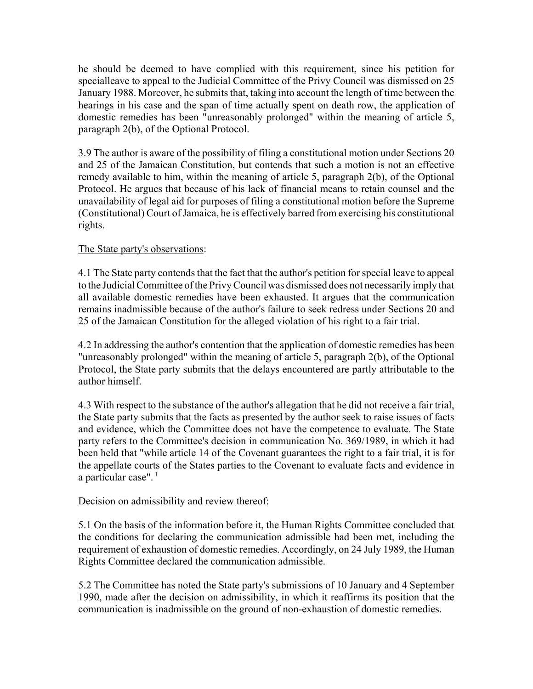he should be deemed to have complied with this requirement, since his petition for specialleave to appeal to the Judicial Committee of the Privy Council was dismissed on 25 January 1988. Moreover, he submits that, taking into account the length of time between the hearings in his case and the span of time actually spent on death row, the application of domestic remedies has been "unreasonably prolonged" within the meaning of article 5, paragraph 2(b), of the Optional Protocol.

3.9 The author is aware of the possibility of filing a constitutional motion under Sections 20 and 25 of the Jamaican Constitution, but contends that such a motion is not an effective remedy available to him, within the meaning of article 5, paragraph 2(b), of the Optional Protocol. He argues that because of his lack of financial means to retain counsel and the unavailability of legal aid for purposes of filing a constitutional motion before the Supreme (Constitutional) Court of Jamaica, he is effectively barred from exercising his constitutional rights.

# The State party's observations:

4.1 The State party contends that the fact that the author's petition for special leave to appeal to the Judicial Committee of the Privy Council was dismissed does not necessarily imply that all available domestic remedies have been exhausted. It argues that the communication remains inadmissible because of the author's failure to seek redress under Sections 20 and 25 of the Jamaican Constitution for the alleged violation of his right to a fair trial.

4.2 In addressing the author's contention that the application of domestic remedies has been "unreasonably prolonged" within the meaning of article 5, paragraph 2(b), of the Optional Protocol, the State party submits that the delays encountered are partly attributable to the author himself.

4.3 With respect to the substance of the author's allegation that he did not receive a fair trial, the State party submits that the facts as presented by the author seek to raise issues of facts and evidence, which the Committee does not have the competence to evaluate. The State party refers to the Committee's decision in communication No. 369/1989, in which it had been held that "while article 14 of the Covenant guarantees the right to a fair trial, it is for the appellate courts of the States parties to the Covenant to evaluate facts and evidence in a particular case".<sup>1</sup>

# Decision on admissibility and review thereof:

5.1 On the basis of the information before it, the Human Rights Committee concluded that the conditions for declaring the communication admissible had been met, including the requirement of exhaustion of domestic remedies. Accordingly, on 24 July 1989, the Human Rights Committee declared the communication admissible.

5.2 The Committee has noted the State party's submissions of 10 January and 4 September 1990, made after the decision on admissibility, in which it reaffirms its position that the communication is inadmissible on the ground of non-exhaustion of domestic remedies.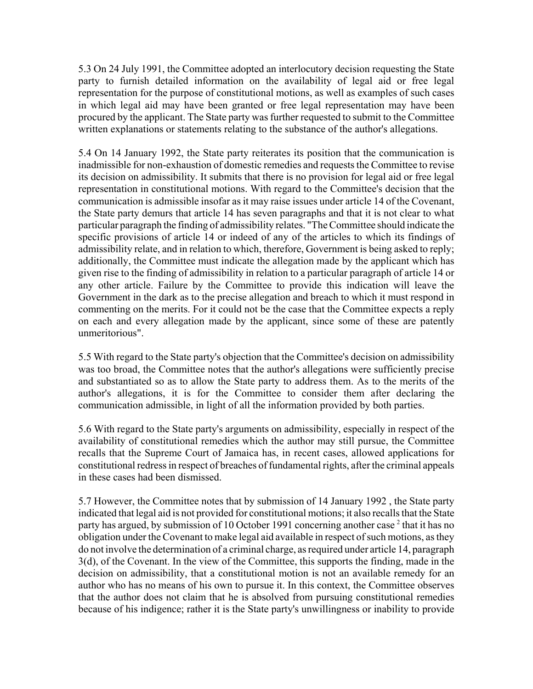5.3 On 24 July 1991, the Committee adopted an interlocutory decision requesting the State party to furnish detailed information on the availability of legal aid or free legal representation for the purpose of constitutional motions, as well as examples of such cases in which legal aid may have been granted or free legal representation may have been procured by the applicant. The State party was further requested to submit to the Committee written explanations or statements relating to the substance of the author's allegations.

5.4 On 14 January 1992, the State party reiterates its position that the communication is inadmissible for non-exhaustion of domestic remedies and requests the Committee to revise its decision on admissibility. It submits that there is no provision for legal aid or free legal representation in constitutional motions. With regard to the Committee's decision that the communication is admissible insofar as it may raise issues under article 14 of the Covenant, the State party demurs that article 14 has seven paragraphs and that it is not clear to what particular paragraph the finding of admissibility relates. "The Committee should indicate the specific provisions of article 14 or indeed of any of the articles to which its findings of admissibility relate, and in relation to which, therefore, Government is being asked to reply; additionally, the Committee must indicate the allegation made by the applicant which has given rise to the finding of admissibility in relation to a particular paragraph of article 14 or any other article. Failure by the Committee to provide this indication will leave the Government in the dark as to the precise allegation and breach to which it must respond in commenting on the merits. For it could not be the case that the Committee expects a reply on each and every allegation made by the applicant, since some of these are patently unmeritorious".

5.5 With regard to the State party's objection that the Committee's decision on admissibility was too broad, the Committee notes that the author's allegations were sufficiently precise and substantiated so as to allow the State party to address them. As to the merits of the author's allegations, it is for the Committee to consider them after declaring the communication admissible, in light of all the information provided by both parties.

5.6 With regard to the State party's arguments on admissibility, especially in respect of the availability of constitutional remedies which the author may still pursue, the Committee recalls that the Supreme Court of Jamaica has, in recent cases, allowed applications for constitutional redress in respect of breaches of fundamental rights, after the criminal appeals in these cases had been dismissed.

5.7 However, the Committee notes that by submission of 14 January 1992 , the State party indicated that legal aid is not provided for constitutional motions; it also recalls that the State party has argued, by submission of 10 October 1991 concerning another case<sup>2</sup> that it has no obligation under the Covenant to make legal aid available in respect of such motions, as they do not involve the determination of a criminal charge, as required under article 14, paragraph 3(d), of the Covenant. In the view of the Committee, this supports the finding, made in the decision on admissibility, that a constitutional motion is not an available remedy for an author who has no means of his own to pursue it. In this context, the Committee observes that the author does not claim that he is absolved from pursuing constitutional remedies because of his indigence; rather it is the State party's unwillingness or inability to provide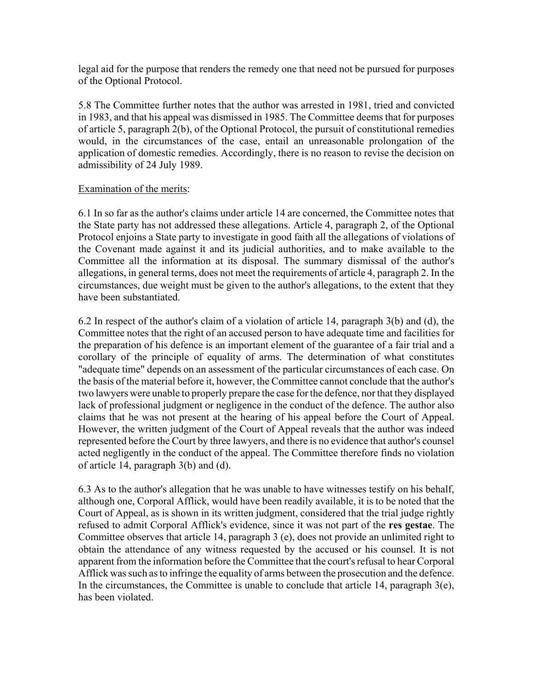legal aid for the purpose that renders the remedy one that need not be pursued for purposes of the Optional Protocol.

5.8 The Committee further notes that the author was arrested in 1981, tried and convicted in 1983, and that his appeal was dismissed in 1985. The Committee deems that for purposes of article 5, paragraph 2(b), of the Optional Protocol, the pursuit of constitutional remedies would, in the circumstances of the case, entail an unreasonable prolongation of the application of domestic remedies. Accordingly, there is no reason to revise the decision on admissibility of 24 July 1989.

## Examination of the merits:

6.1 In so far as the author's claims under article 14 are concerned, the Committee notes that the State party has not addressed these allegations. Article 4, paragraph 2, of the Optional Protocol enjoins a State party to investigate in good faith all the allegations of violations of the Covenant made against it and its judicial authorities, and to make available to the Committee all the information at its disposal. The summary dismissal of the author's allegations, in general terms, does not meet the requirements of article 4, paragraph 2. In the circumstances, due weight must be given to the author's allegations, to the extent that they have been substantiated.

6.2 In respect of the author's claim of a violation of article 14, paragraph 3(b) and (d), the Committee notes that the right of an accused person to have adequate time and facilities for the preparation of his defence is an important element of the guarantee of a fair trial and a corollary of the principle of equality of arms. The determination of what constitutes "adequate time" depends on an assessment of the particular circumstances of each case. On the basis of the material before it, however, the Committee cannot conclude that the author's two lawyers were unable to properly prepare the case for the defence, nor that they displayed lack of professional judgment or negligence in the conduct of the defence. The author also claims that he was not present at the hearing of his appeal before the Court of Appeal. However, the written judgment of the Court of Appeal reveals that the author was indeed represented before the Court by three lawyers, and there is no evidence that author's counsel acted negligently in the conduct of the appeal. The Committee therefore finds no violation of article 14, paragraph 3(b) and (d).

6.3 As to the author's allegation that he was unable to have witnesses testify on his behalf, although one, Corporal Afflick, would have been readily available, it is to be noted that the Court of Appeal, as is shown in its written judgment, considered that the trial judge rightly refused to admit Corporal Afflick's evidence, since it was not part of the **res gestae**. The Committee observes that article 14, paragraph 3 (e), does not provide an unlimited right to obtain the attendance of any witness requested by the accused or his counsel. It is not apparent from the information before the Committee that the court's refusal to hear Corporal Afflick was such as to infringe the equality of arms between the prosecution and the defence. In the circumstances, the Committee is unable to conclude that article 14, paragraph  $3(e)$ , has been violated.